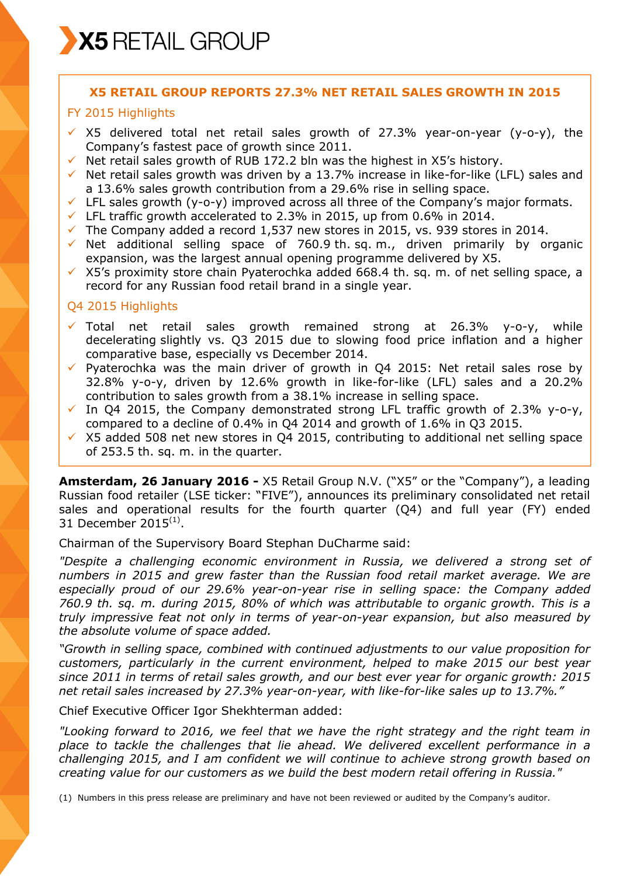# **X5 RETAIL GROUP REPORTS 27.3% NET RETAIL SALES GROWTH IN 2015**

# FY 2015 Highlights

- $\overline{v}$  X5 delivered total net retail sales growth of 27.3% year-on-year (y-o-y), the Company's fastest pace of growth since 2011.
- $\checkmark$  Net retail sales growth of RUB 172.2 bln was the highest in X5's history.
- $\checkmark$  Net retail sales growth was driven by a 13.7% increase in like-for-like (LFL) sales and a 13.6% sales growth contribution from a 29.6% rise in selling space.
- $\checkmark$  LFL sales growth (y-o-y) improved across all three of the Company's major formats.
- $\checkmark$  LFL traffic growth accelerated to 2.3% in 2015, up from 0.6% in 2014.
- $\checkmark$  The Company added a record 1,537 new stores in 2015, vs. 939 stores in 2014.
- $\checkmark$  Net additional selling space of 760.9 th. sq. m., driven primarily by organic expansion, was the largest annual opening programme delivered by X5.
- $\times$  X5's proximity store chain Pyaterochka added 668.4 th. sq. m. of net selling space, a record for any Russian food retail brand in a single year.

# Q4 2015 Highlights

- $\checkmark$  Total net retail sales growth remained strong at 26.3% y-o-y, while decelerating slightly vs. Q3 2015 due to slowing food price inflation and a higher comparative base, especially vs December 2014.
- $\checkmark$  Pyaterochka was the main driver of growth in Q4 2015: Net retail sales rose by 32.8% y-o-y, driven by 12.6% growth in like-for-like (LFL) sales and a 20.2% contribution to sales growth from a 38.1% increase in selling space.
- $\checkmark$  In Q4 2015, the Company demonstrated strong LFL traffic growth of 2.3% y-o-y, compared to a decline of 0.4% in Q4 2014 and growth of 1.6% in Q3 2015.
- $\times$  X5 added 508 net new stores in Q4 2015, contributing to additional net selling space of 253.5 th. sq. m. in the quarter.

**Amsterdam, 26 January 2016 -** X5 Retail Group N.V. ("X5" or the "Company"), a leading Russian food retailer (LSE ticker: "FIVE"), announces its preliminary consolidated net retail sales and operational results for the fourth quarter (Q4) and full year (FY) ended 31 December 2015 $^{(1)}$ .

Chairman of the Supervisory Board Stephan DuCharme said:

*"Despite a challenging economic environment in Russia, we delivered a strong set of numbers in 2015 and grew faster than the Russian food retail market average. We are especially proud of our 29.6% year-on-year rise in selling space: the Company added 760.9 th. sq. m. during 2015, 80% of which was attributable to organic growth. This is a truly impressive feat not only in terms of year-on-year expansion, but also measured by the absolute volume of space added.* 

*"Growth in selling space, combined with continued adjustments to our value proposition for customers, particularly in the current environment, helped to make 2015 our best year since 2011 in terms of retail sales growth, and our best ever year for organic growth: 2015 net retail sales increased by 27.3% year-on-year, with like-for-like sales up to 13.7%."*

Chief Executive Officer Igor Shekhterman added:

*"Looking forward to 2016, we feel that we have the right strategy and the right team in place to tackle the challenges that lie ahead. We delivered excellent performance in a challenging 2015, and I am confident we will continue to achieve strong growth based on creating value for our customers as we build the best modern retail offering in Russia."*

(1) Numbers in this press release are preliminary and have not been reviewed or audited by the Company's auditor.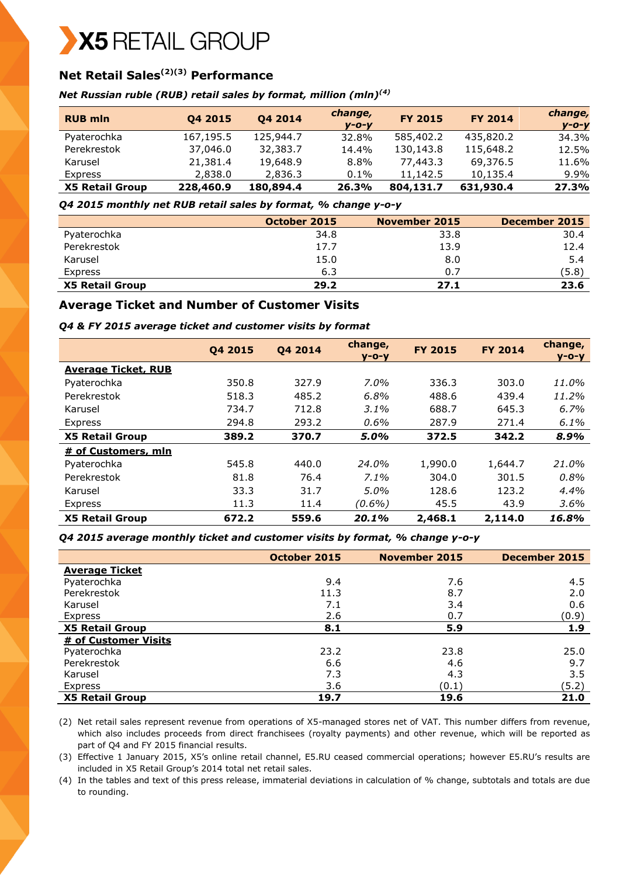# X5 RETAIL GROUP

# **Net Retail Sales(2)(3) Performance**

#### *Net Russian ruble (RUB) retail sales by format, million (mln)(4)*

| <b>RUB mln</b>         | Q4 2015   | Q4 2014   | change,<br>$V - O - V$ | <b>FY 2015</b> | <b>FY 2014</b> | change,<br>$y - 0 - y$ |
|------------------------|-----------|-----------|------------------------|----------------|----------------|------------------------|
| Pyaterochka            | 167,195.5 | 125,944.7 | 32.8%                  | 585,402.2      | 435,820.2      | 34.3%                  |
| Perekrestok            | 37,046.0  | 32,383.7  | 14.4%                  | 130,143.8      | 115,648.2      | 12.5%                  |
| Karusel                | 21,381.4  | 19,648.9  | $8.8\%$                | 77,443.3       | 69,376.5       | 11.6%                  |
| <b>Express</b>         | 2,838.0   | 2,836.3   | $0.1\%$                | 11,142.5       | 10,135.4       | 9.9%                   |
| <b>X5 Retail Group</b> | 228,460.9 | 180,894.4 | 26.3%                  | 804,131.7      | 631,930.4      | 27.3%                  |

*Q4 2015 monthly net RUB retail sales by format, % change y-o-y* 

|                        | October 2015 | November 2015 | December 2015 |
|------------------------|--------------|---------------|---------------|
| Pyaterochka            | 34.8         | 33.8          | 30.4          |
| Perekrestok            | 17.7         | 13.9          | 12.4          |
| Karusel                | 15.0         | 8.0           | 5.4           |
| Express                | 6.3          | 0.7           | (5.8)         |
| <b>X5 Retail Group</b> | 29.2         | 27.1          | 23.6          |

# **Average Ticket and Number of Customer Visits**

*Q4 & FY 2015 average ticket and customer visits by format*

|                            | 04 2015 | 04 2014 | change,<br>$V - O - V$ | <b>FY 2015</b> | <b>FY 2014</b> | change,<br>$V - O - V$ |
|----------------------------|---------|---------|------------------------|----------------|----------------|------------------------|
| <b>Average Ticket, RUB</b> |         |         |                        |                |                |                        |
| Pyaterochka                | 350.8   | 327.9   | $7.0\%$                | 336.3          | 303.0          | 11.0%                  |
| Perekrestok                | 518.3   | 485.2   | 6.8%                   | 488.6          | 439.4          | 11.2%                  |
| Karusel                    | 734.7   | 712.8   | $3.1\%$                | 688.7          | 645.3          | 6.7%                   |
| Express                    | 294.8   | 293.2   | $0.6\%$                | 287.9          | 271.4          | 6.1%                   |
| <b>X5 Retail Group</b>     | 389.2   | 370.7   | 5.0%                   | 372.5          | 342.2          | 8.9%                   |
| # of Customers, mln        |         |         |                        |                |                |                        |
| Pyaterochka                | 545.8   | 440.0   | 24.0%                  | 1,990.0        | 1,644.7        | 21.0%                  |
| Perekrestok                | 81.8    | 76.4    | $7.1\%$                | 304.0          | 301.5          | 0.8%                   |
| Karusel                    | 33.3    | 31.7    | $5.0\%$                | 128.6          | 123.2          | 4.4%                   |
| Express                    | 11.3    | 11.4    | $(0.6\%)$              | 45.5           | 43.9           | 3.6%                   |
| <b>X5 Retail Group</b>     | 672.2   | 559.6   | 20.1%                  | 2,468.1        | 2,114.0        | 16.8%                  |

*Q4 2015 average monthly ticket and customer visits by format, % change y-o-y*

|                        | October 2015 | <b>November 2015</b> | December 2015 |
|------------------------|--------------|----------------------|---------------|
| <b>Average Ticket</b>  |              |                      |               |
| Pyaterochka            | 9.4          | 7.6                  | 4.5           |
| Perekrestok            | 11.3         | 8.7                  | 2.0           |
| Karusel                | 7.1          | 3.4                  | 0.6           |
| Express                | 2.6          | 0.7                  | (0.9)         |
| <b>X5 Retail Group</b> | 8.1          | 5.9                  | 1.9           |
| # of Customer Visits   |              |                      |               |
| Pyaterochka            | 23.2         | 23.8                 | 25.0          |
| Perekrestok            | 6.6          | 4.6                  | 9.7           |
| Karusel                | 7.3          | 4.3                  | 3.5           |
| Express                | 3.6          | (0.1)                | (5.2)         |
| <b>X5 Retail Group</b> | 19.7         | 19.6                 | 21.0          |

(2) Net retail sales represent revenue from operations of X5-managed stores net of VAT. This number differs from revenue, which also includes proceeds from direct franchisees (royalty payments) and other revenue, which will be reported as part of Q4 and FY 2015 financial results.

(3) Effective 1 January 2015, X5's online retail channel, E5.RU ceased commercial operations; however E5.RU's results are included in X5 Retail Group's 2014 total net retail sales.

(4) In the tables and text of this press release, immaterial deviations in calculation of % change, subtotals and totals are due to rounding.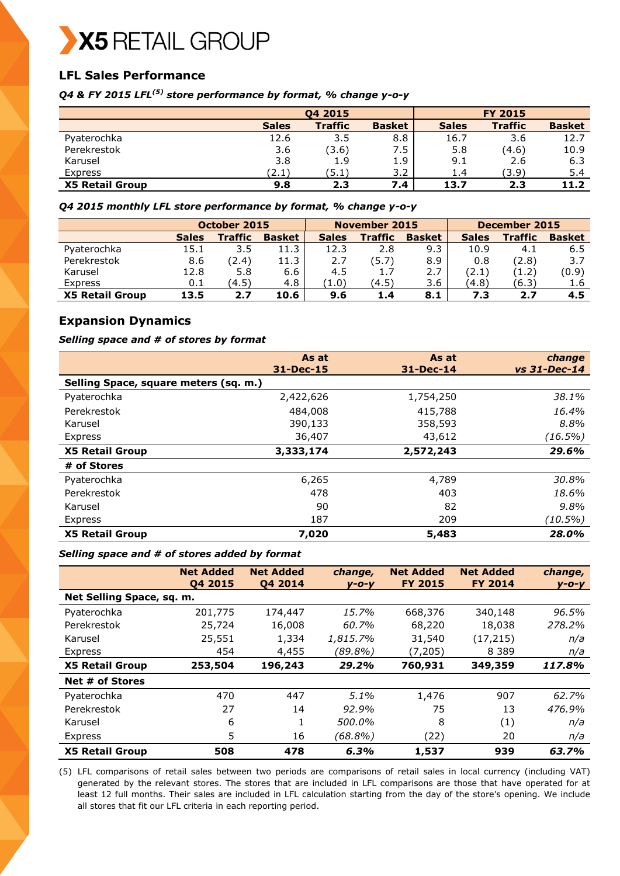

# **LFL Sales Performance**

*Q4 & FY 2015 LFL(5) store performance by format, % change y-o-y*

|                        |              | <b>FY 2015</b> |               |              |                |               |
|------------------------|--------------|----------------|---------------|--------------|----------------|---------------|
|                        | <b>Sales</b> | <b>Traffic</b> | <b>Basket</b> | <b>Sales</b> | <b>Traffic</b> | <b>Basket</b> |
| Pyaterochka            | 12.6         | 3.5            | 8.8           | 16.7         | 3.6            | 12.7          |
| Perekrestok            | 3.6          | (3.6)          | 7.5           | 5.8          | (4.6)          | 10.9          |
| Karusel                | 3.8          | 1.9            | 1.9           | 9.1          | 2.6            | 6.3           |
| Express                | (2.1)        | (5.1)          | 3.2           | 1.4          | (3.9)          | 5.4           |
| <b>X5 Retail Group</b> | 9.8          | 2.3            | 7.4           | 13.7         | 2.3            | 11.2          |

*Q4 2015 monthly LFL store performance by format, % change y-o-y* 

|                        | October 2015 |                | November 2015 |              |                | December 2015 |              |                |               |
|------------------------|--------------|----------------|---------------|--------------|----------------|---------------|--------------|----------------|---------------|
|                        | <b>Sales</b> | <b>Traffic</b> | <b>Basket</b> | <b>Sales</b> | <b>Traffic</b> | <b>Basket</b> | <b>Sales</b> | <b>Traffic</b> | <b>Basket</b> |
| Pyaterochka            | 15.1         | 3.5            | 11.3          | 12.3         | 2.8            | 9.3           | 10.9         | 4.1            | 6.5           |
| Perekrestok            | 8.6          | (2.4)          | 11.3          | 2.7          | (5.7           | 8.9           | 0.8          | (2.8)          | 3.7           |
| Karusel                | 12.8         | 5.8            | 6.6           | 4.5          | 1.7            | 2.7           | (2.1)        | (1.2)          | (0.9)         |
| Express                | 0.1          | (4.5)          | 4.8           | (1.0)        | (4.5)          | 3.6           | (4.8)        | (6.3)          | 1.6           |
| <b>X5 Retail Group</b> | 13.5         | 2.7            | 10.6          | 9.6          | 1.4            | 8.1           | 7.3          | 2.7            | 4.5           |

# **Expansion Dynamics**

#### *Selling space and # of stores by format*

|                                       | As at         | As at         | change         |
|---------------------------------------|---------------|---------------|----------------|
|                                       | $31 - Dec-15$ | $31 - Dec-14$ | $vs$ 31-Dec-14 |
| Selling Space, square meters (sq. m.) |               |               |                |
| Pyaterochka                           | 2,422,626     | 1,754,250     | 38.1%          |
| Perekrestok                           | 484,008       | 415,788       | 16.4%          |
| Karusel                               | 390,133       | 358,593       | 8.8%           |
| Express                               | 36,407        | 43,612        | (16.5%)        |
| <b>X5 Retail Group</b>                | 3,333,174     | 2,572,243     | 29.6%          |
| # of Stores                           |               |               |                |
| Pyaterochka                           | 6,265         | 4,789         | 30.8%          |
| Perekrestok                           | 478           | 403           | 18.6%          |
| Karusel                               | 90            | 82            | 9.8%           |
| Express                               | 187           | 209           | (10.5%)        |
| <b>X5 Retail Group</b>                | 7,020         | 5,483         | 28.0%          |

#### *Selling space and # of stores added by format*

|                           | <b>Net Added</b><br>04 2015 | <b>Net Added</b><br>04 2014 | change,<br>$V - O - V$ | <b>Net Added</b><br><b>FY 2015</b> | <b>Net Added</b><br><b>FY 2014</b> | change,<br>$V - O - V$ |
|---------------------------|-----------------------------|-----------------------------|------------------------|------------------------------------|------------------------------------|------------------------|
| Net Selling Space, sq. m. |                             |                             |                        |                                    |                                    |                        |
| Pyaterochka               | 201,775                     | 174,447                     | 15.7%                  | 668,376                            | 340,148                            | 96.5%                  |
| Perekrestok               | 25,724                      | 16,008                      | 60.7%                  | 68,220                             | 18,038                             | 278.2%                 |
| Karusel                   | 25,551                      | 1,334                       | 1,815.7%               | 31,540                             | (17, 215)                          | n/a                    |
| Express                   | 454                         | 4,455                       | (89.8%)                | (7, 205)                           | 8 3 8 9                            | n/a                    |
| <b>X5 Retail Group</b>    | 253,504                     | 196,243                     | 29.2%                  | 760,931                            | 349,359                            | 117.8%                 |
| Net # of Stores           |                             |                             |                        |                                    |                                    |                        |
| Pyaterochka               | 470                         | 447                         | $5.1\%$                | 1,476                              | 907                                | 62.7%                  |
| Perekrestok               | 27                          | 14                          | 92.9%                  | 75                                 | 13                                 | 476.9%                 |
| Karusel                   | 6                           | 1                           | 500.0%                 | 8                                  | (1)                                | n/a                    |
| Express                   | 5                           | 16                          | (68.8%)                | (22)                               | 20                                 | n/a                    |
| <b>X5 Retail Group</b>    | 508                         | 478                         | 6.3%                   | 1,537                              | 939                                | 63.7%                  |

(5) LFL comparisons of retail sales between two periods are comparisons of retail sales in local currency (including VAT) generated by the relevant stores. The stores that are included in LFL comparisons are those that have operated for at least 12 full months. Their sales are included in LFL calculation starting from the day of the store's opening. We include all stores that fit our LFL criteria in each reporting period.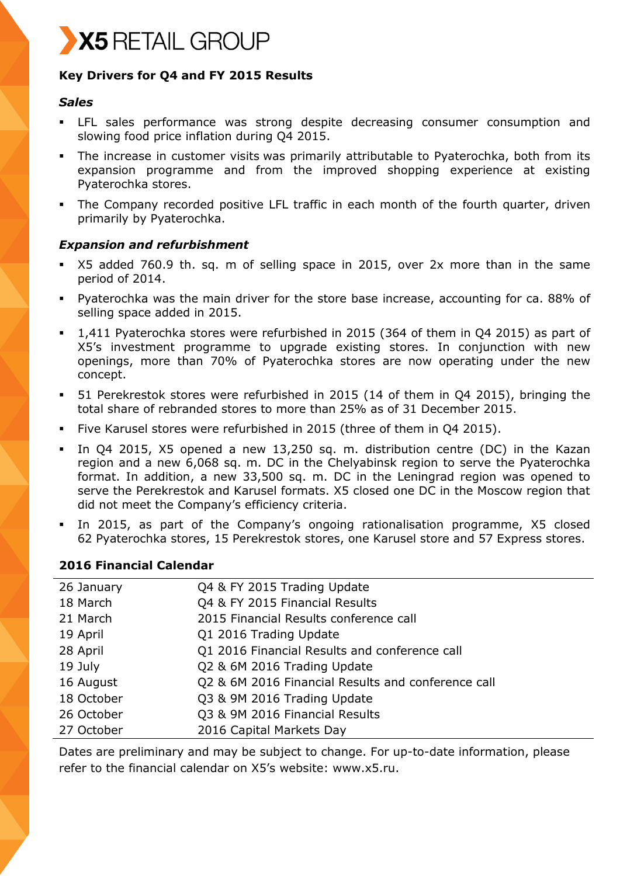

# **Key Drivers for Q4 and FY 2015 Results**

# *Sales*

- LFL sales performance was strong despite decreasing consumer consumption and slowing food price inflation during Q4 2015.
- The increase in customer visits was primarily attributable to Pyaterochka, both from its expansion programme and from the improved shopping experience at existing Pyaterochka stores.
- The Company recorded positive LFL traffic in each month of the fourth quarter, driven primarily by Pyaterochka.

# *Expansion and refurbishment*

- X5 added 760.9 th. sq. m of selling space in 2015, over 2x more than in the same period of 2014.
- Pyaterochka was the main driver for the store base increase, accounting for ca. 88% of selling space added in 2015.
- 1,411 Pyaterochka stores were refurbished in 2015 (364 of them in Q4 2015) as part of X5's investment programme to upgrade existing stores. In conjunction with new openings, more than 70% of Pyaterochka stores are now operating under the new concept.
- 51 Perekrestok stores were refurbished in 2015 (14 of them in Q4 2015), bringing the total share of rebranded stores to more than 25% as of 31 December 2015.
- Five Karusel stores were refurbished in 2015 (three of them in Q4 2015).
- In Q4 2015, X5 opened a new 13,250 sq. m. distribution centre (DC) in the Kazan region and a new 6,068 sq. m. DC in the Chelyabinsk region to serve the Pyaterochka format. In addition, a new 33,500 sq. m. DC in the Leningrad region was opened to serve the Perekrestok and Karusel formats. X5 closed one DC in the Moscow region that did not meet the Company's efficiency criteria.
- In 2015, as part of the Company's ongoing rationalisation programme, X5 closed 62 Pyaterochka stores, 15 Perekrestok stores, one Karusel store and 57 Express stores.

# **2016 Financial Calendar**

| 26 January | Q4 & FY 2015 Trading Update                        |
|------------|----------------------------------------------------|
| 18 March   | Q4 & FY 2015 Financial Results                     |
| 21 March   | 2015 Financial Results conference call             |
| 19 April   | Q1 2016 Trading Update                             |
| 28 April   | Q1 2016 Financial Results and conference call      |
| 19 July    | Q2 & 6M 2016 Trading Update                        |
| 16 August  | Q2 & 6M 2016 Financial Results and conference call |
| 18 October | Q3 & 9M 2016 Trading Update                        |
| 26 October | Q3 & 9M 2016 Financial Results                     |
| 27 October | 2016 Capital Markets Day                           |

Dates are preliminary and may be subject to change. For up-to-date information, please refer to the financial calendar on X5's website: www.x5.ru.